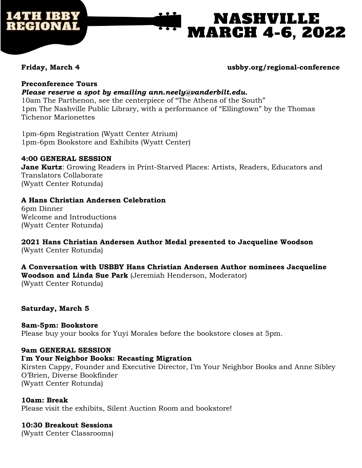

# NASHVILLE **MARCH 4-6, 2022**

## **Friday, March 4 usbby.org/regional-conference**

#### **Preconference Tours** *Please reserve a spot by emailing ann.neely@vanderbilt.edu.*

10am The Parthenon, see the centerpiece of "The Athens of the South" 1pm The Nashville Public Library, with a performance of "Ellingtown" by the Thomas Tichenor Marionettes

1pm-6pm Registration (Wyatt Center Atrium) 1pm-6pm Bookstore and Exhibits (Wyatt Center)

### **4:00 GENERAL SESSION**

**Jane Kurtz**: Growing Readers in Print-Starved Places: Artists, Readers, Educators and Translators Collaborate (Wyatt Center Rotunda)

### **A Hans Christian Andersen Celebration**

6pm Dinner Welcome and Introductions (Wyatt Center Rotunda)

**2021 Hans Christian Andersen Author Medal presented to Jacqueline Woodson** (Wyatt Center Rotunda)

#### **A Conversation with USBBY Hans Christian Andersen Author nominees Jacqueline Woodson and Linda Sue Park** (Jeremiah Henderson, Moderator) (Wyatt Center Rotunda)

#### **Saturday, March 5**

**8am-5pm: Bookstore**  Please buy your books for Yuyi Morales before the bookstore closes at 5pm.

# **9am GENERAL SESSION**

#### **I'm Your Neighbor Books: Recasting Migration**

Kirsten Cappy, Founder and Executive Director, I'm Your Neighbor Books and Anne Sibley O'Brien, Diverse Bookfinder (Wyatt Center Rotunda)

#### **10am: Break**

Please visit the exhibits, Silent Auction Room and bookstore!

#### **10:30 Breakout Sessions**

(Wyatt Center Classrooms)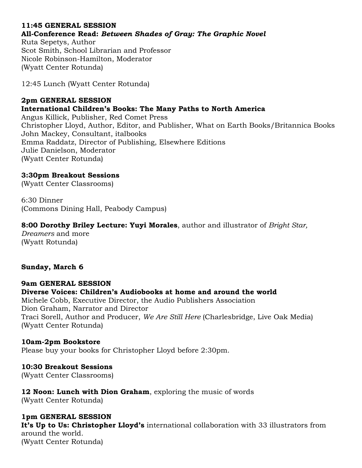# **11:45 GENERAL SESSION All-Conference Read:** *Between Shades of Gray: The Graphic Novel*

Ruta Sepetys, Author Scot Smith, School Librarian and Professor Nicole Robinson-Hamilton, Moderator (Wyatt Center Rotunda)

12:45 Lunch (Wyatt Center Rotunda)

### **2pm GENERAL SESSION International Children's Books: The Many Paths to North America**

Angus Killick, Publisher, Red Comet Press Christopher Lloyd, Author, Editor, and Publisher, What on Earth Books/Britannica Books John Mackey, Consultant, italbooks Emma Raddatz, Director of Publishing, Elsewhere Editions Julie Danielson, Moderator (Wyatt Center Rotunda)

# **3:30pm Breakout Sessions**

(Wyatt Center Classrooms)

6:30 Dinner (Commons Dining Hall, Peabody Campus)

# **8:00 Dorothy Briley Lecture: Yuyi Morales**, author and illustrator of *Bright Star,*

*Dreamers* and more (Wyatt Rotunda)

# **Sunday, March 6**

### **9am GENERAL SESSION Diverse Voices: Children's Audiobooks at home and around the world** Michele Cobb, Executive Director, the Audio Publishers Association Dion Graham, Narrator and Director Traci Sorell, Author and Producer, *We Are Still Here* (Charlesbridge, Live Oak Media) (Wyatt Center Rotunda)

# **10am-2pm Bookstore**

Please buy your books for Christopher Lloyd before 2:30pm.

#### **10:30 Breakout Sessions** (Wyatt Center Classrooms)

**12 Noon: Lunch with Dion Graham**, exploring the music of words (Wyatt Center Rotunda)

**1pm GENERAL SESSION It's Up to Us: Christopher Lloyd's** international collaboration with 33 illustrators from around the world. (Wyatt Center Rotunda)